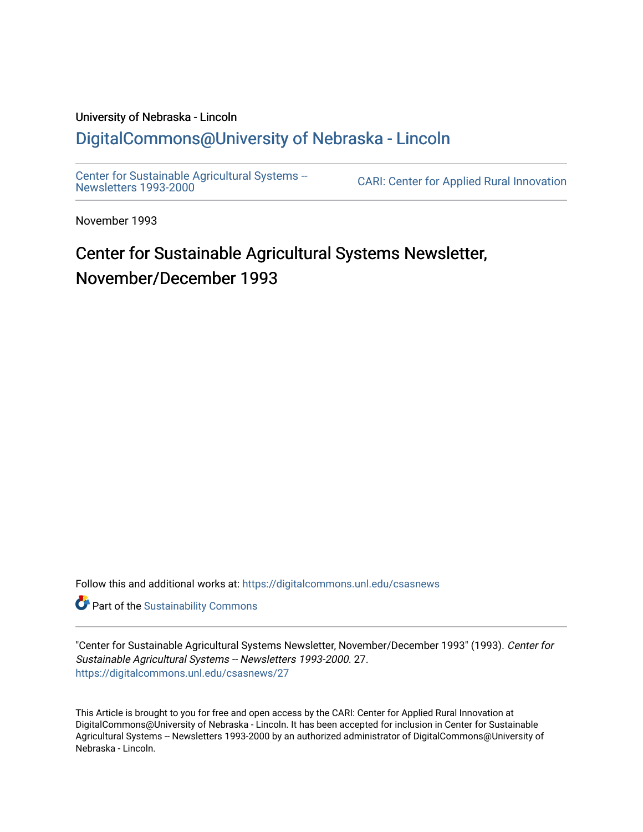## University of Nebraska - Lincoln [DigitalCommons@University of Nebraska - Lincoln](https://digitalcommons.unl.edu/)

[Center for Sustainable Agricultural Systems --](https://digitalcommons.unl.edu/csasnews)<br>Newsletters 1993-2000

CARI: Center for Applied Rural Innovation

November 1993

# Center for Sustainable Agricultural Systems Newsletter, November/December 1993

Follow this and additional works at: [https://digitalcommons.unl.edu/csasnews](https://digitalcommons.unl.edu/csasnews?utm_source=digitalcommons.unl.edu%2Fcsasnews%2F27&utm_medium=PDF&utm_campaign=PDFCoverPages) 

**Part of the [Sustainability Commons](http://network.bepress.com/hgg/discipline/1031?utm_source=digitalcommons.unl.edu%2Fcsasnews%2F27&utm_medium=PDF&utm_campaign=PDFCoverPages)** 

"Center for Sustainable Agricultural Systems Newsletter, November/December 1993" (1993). Center for Sustainable Agricultural Systems -- Newsletters 1993-2000. 27. [https://digitalcommons.unl.edu/csasnews/27](https://digitalcommons.unl.edu/csasnews/27?utm_source=digitalcommons.unl.edu%2Fcsasnews%2F27&utm_medium=PDF&utm_campaign=PDFCoverPages) 

This Article is brought to you for free and open access by the CARI: Center for Applied Rural Innovation at DigitalCommons@University of Nebraska - Lincoln. It has been accepted for inclusion in Center for Sustainable Agricultural Systems -- Newsletters 1993-2000 by an authorized administrator of DigitalCommons@University of Nebraska - Lincoln.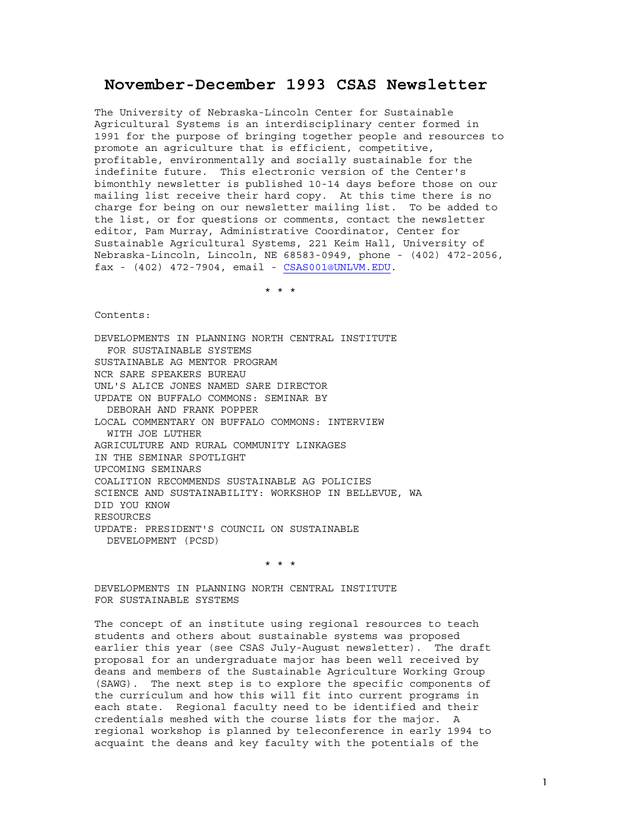## **November-December 1993 CSAS Newsletter**

The University of Nebraska-Lincoln Center for Sustainable Agricultural Systems is an interdisciplinary center formed in 1991 for the purpose of bringing together people and resources to promote an agriculture that is efficient, competitive, profitable, environmentally and socially sustainable for the indefinite future. This electronic version of the Center's bimonthly newsletter is published 10-14 days before those on our mailing list receive their hard copy. At this time there is no charge for being on our newsletter mailing list. To be added to the list, or for questions or comments, contact the newsletter editor, Pam Murray, Administrative Coordinator, Center for Sustainable Agricultural Systems, 221 Keim Hall, University of Nebraska-Lincoln, Lincoln, NE 68583-0949, phone - (402) 472-2056, fax - (402) 472-7904, email - CSAS001@UNLVM.EDU.

\* \* \*

Contents:

DEVELOPMENTS IN PLANNING NORTH CENTRAL INSTITUTE FOR SUSTAINABLE SYSTEMS SUSTAINABLE AG MENTOR PROGRAM NCR SARE SPEAKERS BUREAU UNL'S ALICE JONES NAMED SARE DIRECTOR UPDATE ON BUFFALO COMMONS: SEMINAR BY DEBORAH AND FRANK POPPER LOCAL COMMENTARY ON BUFFALO COMMONS: INTERVIEW WITH JOE LUTHER AGRICULTURE AND RURAL COMMUNITY LINKAGES IN THE SEMINAR SPOTLIGHT UPCOMING SEMINARS COALITION RECOMMENDS SUSTAINABLE AG POLICIES SCIENCE AND SUSTAINABILITY: WORKSHOP IN BELLEVUE, WA DID YOU KNOW RESOURCES UPDATE: PRESIDENT'S COUNCIL ON SUSTAINABLE DEVELOPMENT (PCSD)

\* \* \*

DEVELOPMENTS IN PLANNING NORTH CENTRAL INSTITUTE FOR SUSTAINABLE SYSTEMS

The concept of an institute using regional resources to teach students and others about sustainable systems was proposed earlier this year (see CSAS July-August newsletter). The draft proposal for an undergraduate major has been well received by deans and members of the Sustainable Agriculture Working Group (SAWG). The next step is to explore the specific components of the curriculum and how this will fit into current programs in each state. Regional faculty need to be identified and their credentials meshed with the course lists for the major. A regional workshop is planned by teleconference in early 1994 to acquaint the deans and key faculty with the potentials of the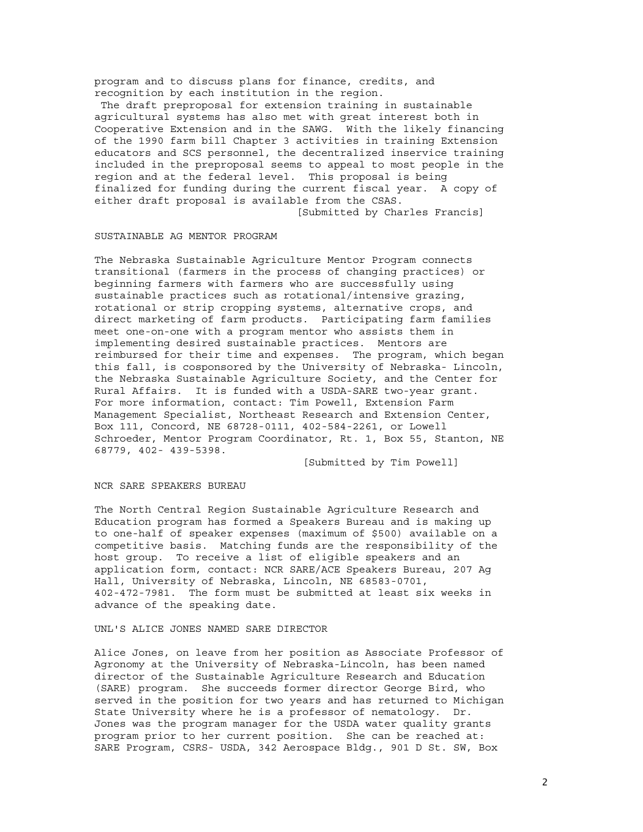program and to discuss plans for finance, credits, and recognition by each institution in the region.

 The draft preproposal for extension training in sustainable agricultural systems has also met with great interest both in Cooperative Extension and in the SAWG. With the likely financing of the 1990 farm bill Chapter 3 activities in training Extension educators and SCS personnel, the decentralized inservice training included in the preproposal seems to appeal to most people in the region and at the federal level. This proposal is being finalized for funding during the current fiscal year. A copy of either draft proposal is available from the CSAS.

### [Submitted by Charles Francis]

#### SUSTAINABLE AG MENTOR PROGRAM

The Nebraska Sustainable Agriculture Mentor Program connects transitional (farmers in the process of changing practices) or beginning farmers with farmers who are successfully using sustainable practices such as rotational/intensive grazing, rotational or strip cropping systems, alternative crops, and direct marketing of farm products. Participating farm families meet one-on-one with a program mentor who assists them in implementing desired sustainable practices. Mentors are reimbursed for their time and expenses. The program, which began this fall, is cosponsored by the University of Nebraska- Lincoln, the Nebraska Sustainable Agriculture Society, and the Center for Rural Affairs. It is funded with a USDA-SARE two-year grant. For more information, contact: Tim Powell, Extension Farm Management Specialist, Northeast Research and Extension Center, Box 111, Concord, NE 68728-0111, 402-584-2261, or Lowell Schroeder, Mentor Program Coordinator, Rt. 1, Box 55, Stanton, NE 68779, 402- 439-5398.

[Submitted by Tim Powell]

#### NCR SARE SPEAKERS BUREAU

The North Central Region Sustainable Agriculture Research and Education program has formed a Speakers Bureau and is making up to one-half of speaker expenses (maximum of \$500) available on a competitive basis. Matching funds are the responsibility of the host group. To receive a list of eligible speakers and an application form, contact: NCR SARE/ACE Speakers Bureau, 207 Ag Hall, University of Nebraska, Lincoln, NE 68583-0701, 402-472-7981. The form must be submitted at least six weeks in advance of the speaking date.

#### UNL'S ALICE JONES NAMED SARE DIRECTOR

Alice Jones, on leave from her position as Associate Professor of Agronomy at the University of Nebraska-Lincoln, has been named director of the Sustainable Agriculture Research and Education (SARE) program. She succeeds former director George Bird, who served in the position for two years and has returned to Michigan State University where he is a professor of nematology. Dr. Jones was the program manager for the USDA water quality grants program prior to her current position. She can be reached at: SARE Program, CSRS- USDA, 342 Aerospace Bldg., 901 D St. SW, Box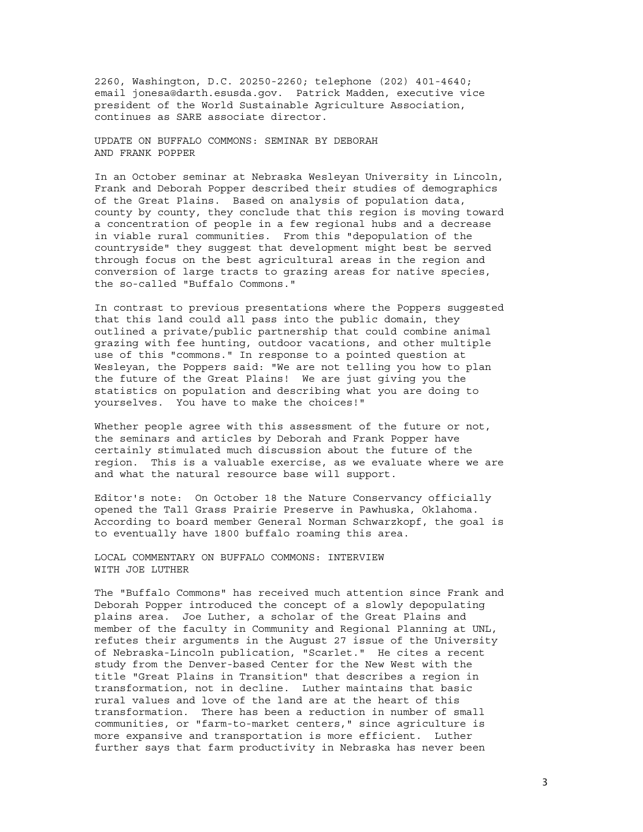2260, Washington, D.C. 20250-2260; telephone (202) 401-4640; email jonesa@darth.esusda.gov. Patrick Madden, executive vice president of the World Sustainable Agriculture Association, continues as SARE associate director.

UPDATE ON BUFFALO COMMONS: SEMINAR BY DEBORAH AND FRANK POPPER

In an October seminar at Nebraska Wesleyan University in Lincoln, Frank and Deborah Popper described their studies of demographics of the Great Plains. Based on analysis of population data, county by county, they conclude that this region is moving toward a concentration of people in a few regional hubs and a decrease in viable rural communities. From this "depopulation of the countryside" they suggest that development might best be served through focus on the best agricultural areas in the region and conversion of large tracts to grazing areas for native species, the so-called "Buffalo Commons."

In contrast to previous presentations where the Poppers suggested that this land could all pass into the public domain, they outlined a private/public partnership that could combine animal grazing with fee hunting, outdoor vacations, and other multiple use of this "commons." In response to a pointed question at Wesleyan, the Poppers said: "We are not telling you how to plan the future of the Great Plains! We are just giving you the statistics on population and describing what you are doing to yourselves. You have to make the choices!"

Whether people agree with this assessment of the future or not, the seminars and articles by Deborah and Frank Popper have certainly stimulated much discussion about the future of the region. This is a valuable exercise, as we evaluate where we are and what the natural resource base will support.

Editor's note: On October 18 the Nature Conservancy officially opened the Tall Grass Prairie Preserve in Pawhuska, Oklahoma. According to board member General Norman Schwarzkopf, the goal is to eventually have 1800 buffalo roaming this area.

LOCAL COMMENTARY ON BUFFALO COMMONS: INTERVIEW WITH JOE LUTHER

The "Buffalo Commons" has received much attention since Frank and Deborah Popper introduced the concept of a slowly depopulating plains area. Joe Luther, a scholar of the Great Plains and member of the faculty in Community and Regional Planning at UNL, refutes their arguments in the August 27 issue of the University of Nebraska-Lincoln publication, "Scarlet." He cites a recent study from the Denver-based Center for the New West with the title "Great Plains in Transition" that describes a region in transformation, not in decline. Luther maintains that basic rural values and love of the land are at the heart of this transformation. There has been a reduction in number of small communities, or "farm-to-market centers," since agriculture is more expansive and transportation is more efficient. Luther further says that farm productivity in Nebraska has never been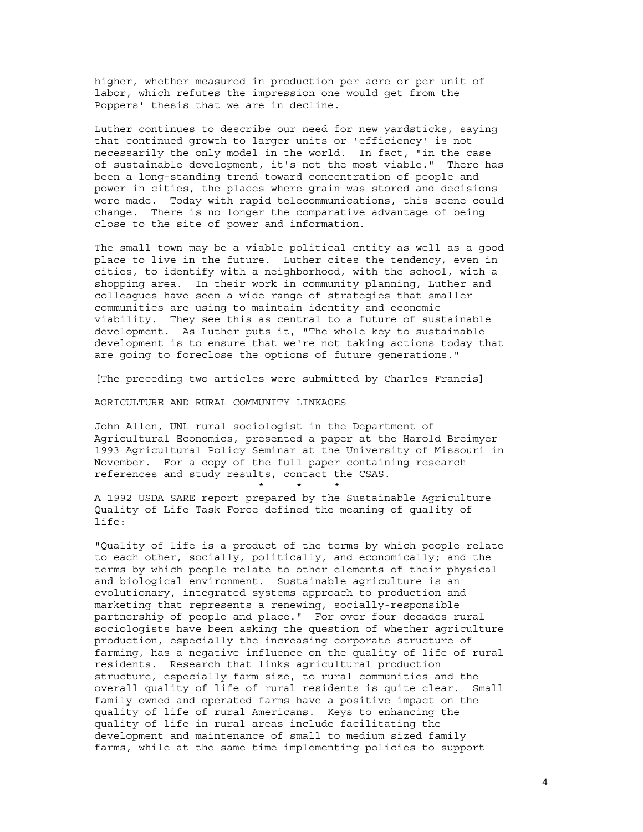higher, whether measured in production per acre or per unit of labor, which refutes the impression one would get from the Poppers' thesis that we are in decline.

Luther continues to describe our need for new yardsticks, saying that continued growth to larger units or 'efficiency' is not necessarily the only model in the world. In fact, "in the case of sustainable development, it's not the most viable." There has been a long-standing trend toward concentration of people and power in cities, the places where grain was stored and decisions were made. Today with rapid telecommunications, this scene could change. There is no longer the comparative advantage of being close to the site of power and information.

The small town may be a viable political entity as well as a good place to live in the future. Luther cites the tendency, even in cities, to identify with a neighborhood, with the school, with a shopping area. In their work in community planning, Luther and colleagues have seen a wide range of strategies that smaller communities are using to maintain identity and economic viability. They see this as central to a future of sustainable development. As Luther puts it, "The whole key to sustainable development is to ensure that we're not taking actions today that are going to foreclose the options of future generations."

[The preceding two articles were submitted by Charles Francis]

AGRICULTURE AND RURAL COMMUNITY LINKAGES

 $\star$   $\star$   $\star$   $\star$ 

John Allen, UNL rural sociologist in the Department of Agricultural Economics, presented a paper at the Harold Breimyer 1993 Agricultural Policy Seminar at the University of Missouri in November. For a copy of the full paper containing research references and study results, contact the CSAS.

A 1992 USDA SARE report prepared by the Sustainable Agriculture Quality of Life Task Force defined the meaning of quality of life:

"Quality of life is a product of the terms by which people relate to each other, socially, politically, and economically; and the terms by which people relate to other elements of their physical and biological environment. Sustainable agriculture is an evolutionary, integrated systems approach to production and marketing that represents a renewing, socially-responsible partnership of people and place." For over four decades rural sociologists have been asking the question of whether agriculture production, especially the increasing corporate structure of farming, has a negative influence on the quality of life of rural residents. Research that links agricultural production structure, especially farm size, to rural communities and the overall quality of life of rural residents is quite clear. Small family owned and operated farms have a positive impact on the quality of life of rural Americans. Keys to enhancing the quality of life in rural areas include facilitating the development and maintenance of small to medium sized family farms, while at the same time implementing policies to support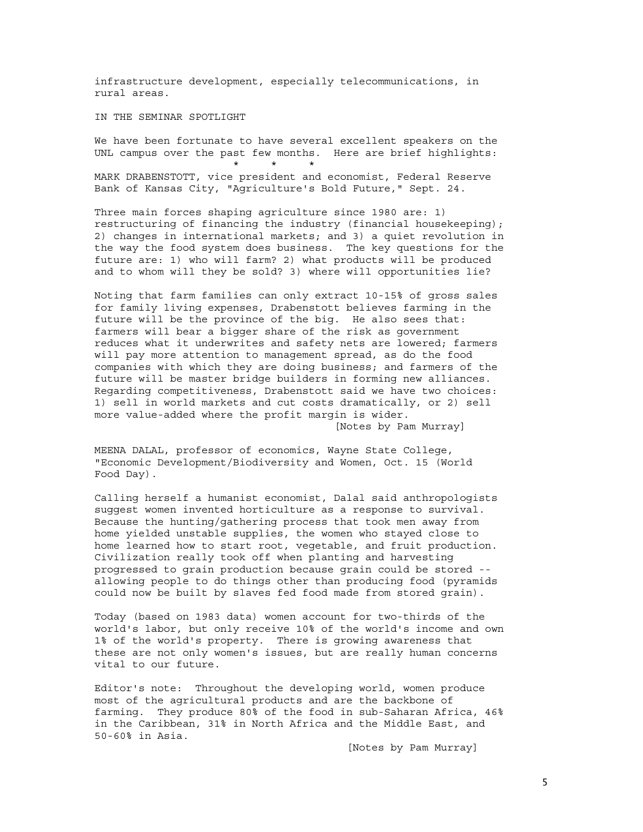infrastructure development, especially telecommunications, in rural areas.

IN THE SEMINAR SPOTLIGHT

We have been fortunate to have several excellent speakers on the UNL campus over the past few months. Here are brief highlights: \* \* \*

MARK DRABENSTOTT, vice president and economist, Federal Reserve Bank of Kansas City, "Agriculture's Bold Future," Sept. 24.

Three main forces shaping agriculture since 1980 are: 1) restructuring of financing the industry (financial housekeeping); 2) changes in international markets; and 3) a quiet revolution in the way the food system does business. The key questions for the future are: 1) who will farm? 2) what products will be produced and to whom will they be sold? 3) where will opportunities lie?

Noting that farm families can only extract 10-15% of gross sales for family living expenses, Drabenstott believes farming in the future will be the province of the big. He also sees that: farmers will bear a bigger share of the risk as government reduces what it underwrites and safety nets are lowered; farmers will pay more attention to management spread, as do the food companies with which they are doing business; and farmers of the future will be master bridge builders in forming new alliances. Regarding competitiveness, Drabenstott said we have two choices: 1) sell in world markets and cut costs dramatically, or 2) sell more value-added where the profit margin is wider.

[Notes by Pam Murray]

MEENA DALAL, professor of economics, Wayne State College, "Economic Development/Biodiversity and Women, Oct. 15 (World Food Day).

Calling herself a humanist economist, Dalal said anthropologists suggest women invented horticulture as a response to survival. Because the hunting/gathering process that took men away from home yielded unstable supplies, the women who stayed close to home learned how to start root, vegetable, and fruit production. Civilization really took off when planting and harvesting progressed to grain production because grain could be stored - allowing people to do things other than producing food (pyramids could now be built by slaves fed food made from stored grain).

Today (based on 1983 data) women account for two-thirds of the world's labor, but only receive 10% of the world's income and own 1% of the world's property. There is growing awareness that these are not only women's issues, but are really human concerns vital to our future.

Editor's note: Throughout the developing world, women produce most of the agricultural products and are the backbone of farming. They produce 80% of the food in sub-Saharan Africa, 46% in the Caribbean, 31% in North Africa and the Middle East, and 50-60% in Asia.

[Notes by Pam Murray]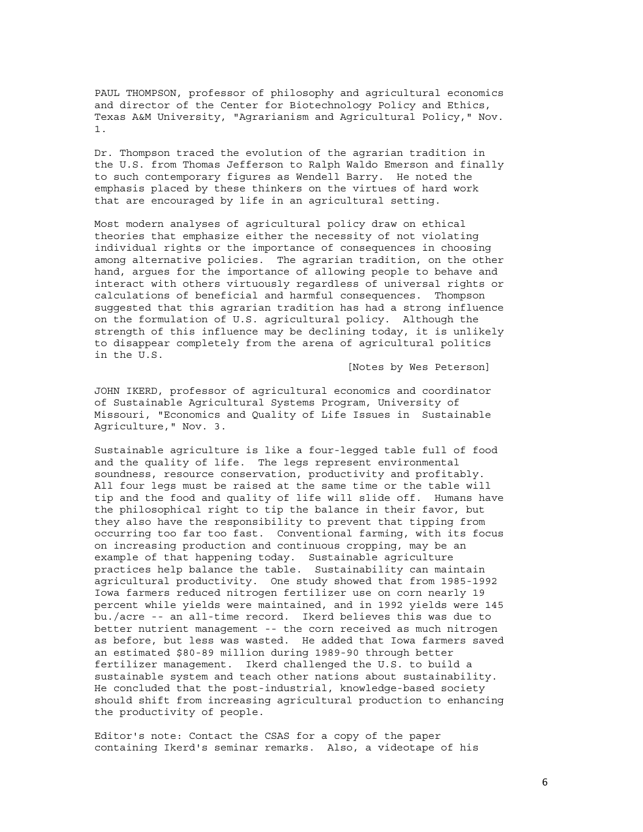PAUL THOMPSON, professor of philosophy and agricultural economics and director of the Center for Biotechnology Policy and Ethics, Texas A&M University, "Agrarianism and Agricultural Policy," Nov. 1.

Dr. Thompson traced the evolution of the agrarian tradition in the U.S. from Thomas Jefferson to Ralph Waldo Emerson and finally to such contemporary figures as Wendell Barry. He noted the emphasis placed by these thinkers on the virtues of hard work that are encouraged by life in an agricultural setting.

Most modern analyses of agricultural policy draw on ethical theories that emphasize either the necessity of not violating individual rights or the importance of consequences in choosing among alternative policies. The agrarian tradition, on the other hand, argues for the importance of allowing people to behave and interact with others virtuously regardless of universal rights or calculations of beneficial and harmful consequences. Thompson suggested that this agrarian tradition has had a strong influence on the formulation of U.S. agricultural policy. Although the strength of this influence may be declining today, it is unlikely to disappear completely from the arena of agricultural politics in the U.S.

[Notes by Wes Peterson]

JOHN IKERD, professor of agricultural economics and coordinator of Sustainable Agricultural Systems Program, University of Missouri, "Economics and Quality of Life Issues in Sustainable Agriculture," Nov. 3.

Sustainable agriculture is like a four-legged table full of food and the quality of life. The legs represent environmental soundness, resource conservation, productivity and profitably. All four legs must be raised at the same time or the table will tip and the food and quality of life will slide off. Humans have the philosophical right to tip the balance in their favor, but they also have the responsibility to prevent that tipping from occurring too far too fast. Conventional farming, with its focus on increasing production and continuous cropping, may be an example of that happening today. Sustainable agriculture practices help balance the table. Sustainability can maintain agricultural productivity. One study showed that from 1985-1992 Iowa farmers reduced nitrogen fertilizer use on corn nearly 19 percent while yields were maintained, and in 1992 yields were 145 bu./acre -- an all-time record. Ikerd believes this was due to better nutrient management -- the corn received as much nitrogen as before, but less was wasted. He added that Iowa farmers saved an estimated \$80-89 million during 1989-90 through better fertilizer management. Ikerd challenged the U.S. to build a sustainable system and teach other nations about sustainability. He concluded that the post-industrial, knowledge-based society should shift from increasing agricultural production to enhancing the productivity of people.

Editor's note: Contact the CSAS for a copy of the paper containing Ikerd's seminar remarks. Also, a videotape of his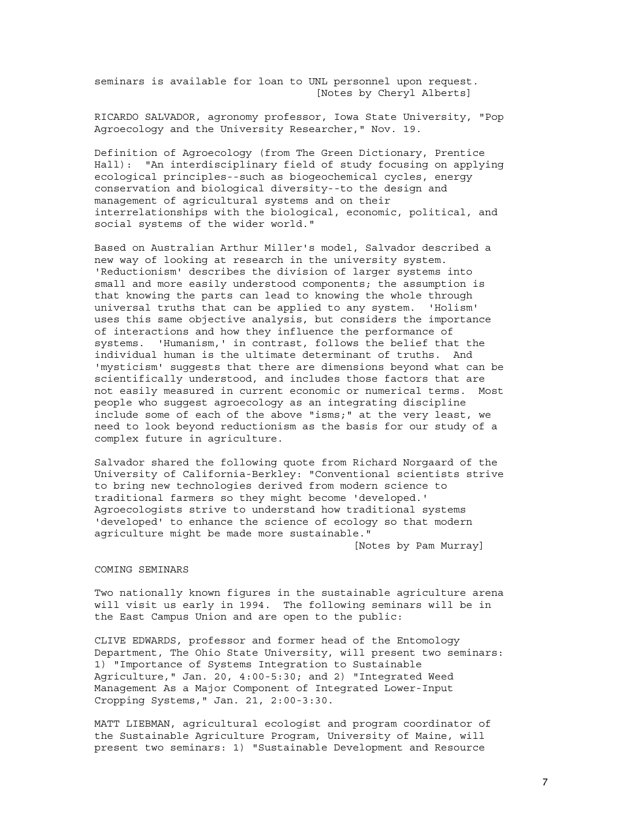seminars is available for loan to UNL personnel upon request. [Notes by Cheryl Alberts]

RICARDO SALVADOR, agronomy professor, Iowa State University, "Pop Agroecology and the University Researcher," Nov. 19.

Definition of Agroecology (from The Green Dictionary, Prentice Hall): "An interdisciplinary field of study focusing on applying ecological principles--such as biogeochemical cycles, energy conservation and biological diversity--to the design and management of agricultural systems and on their interrelationships with the biological, economic, political, and social systems of the wider world."

Based on Australian Arthur Miller's model, Salvador described a new way of looking at research in the university system. 'Reductionism' describes the division of larger systems into small and more easily understood components; the assumption is that knowing the parts can lead to knowing the whole through universal truths that can be applied to any system. 'Holism' uses this same objective analysis, but considers the importance of interactions and how they influence the performance of systems. 'Humanism,' in contrast, follows the belief that the individual human is the ultimate determinant of truths. And 'mysticism' suggests that there are dimensions beyond what can be scientifically understood, and includes those factors that are not easily measured in current economic or numerical terms. Most people who suggest agroecology as an integrating discipline include some of each of the above "isms;" at the very least, we need to look beyond reductionism as the basis for our study of a complex future in agriculture.

Salvador shared the following quote from Richard Norgaard of the University of California-Berkley: "Conventional scientists strive to bring new technologies derived from modern science to traditional farmers so they might become 'developed.' Agroecologists strive to understand how traditional systems 'developed' to enhance the science of ecology so that modern agriculture might be made more sustainable."

[Notes by Pam Murray]

#### COMING SEMINARS

Two nationally known figures in the sustainable agriculture arena will visit us early in 1994. The following seminars will be in the East Campus Union and are open to the public:

CLIVE EDWARDS, professor and former head of the Entomology Department, The Ohio State University, will present two seminars: 1) "Importance of Systems Integration to Sustainable Agriculture," Jan. 20, 4:00-5:30; and 2) "Integrated Weed Management As a Major Component of Integrated Lower-Input Cropping Systems," Jan. 21, 2:00-3:30.

MATT LIEBMAN, agricultural ecologist and program coordinator of the Sustainable Agriculture Program, University of Maine, will present two seminars: 1) "Sustainable Development and Resource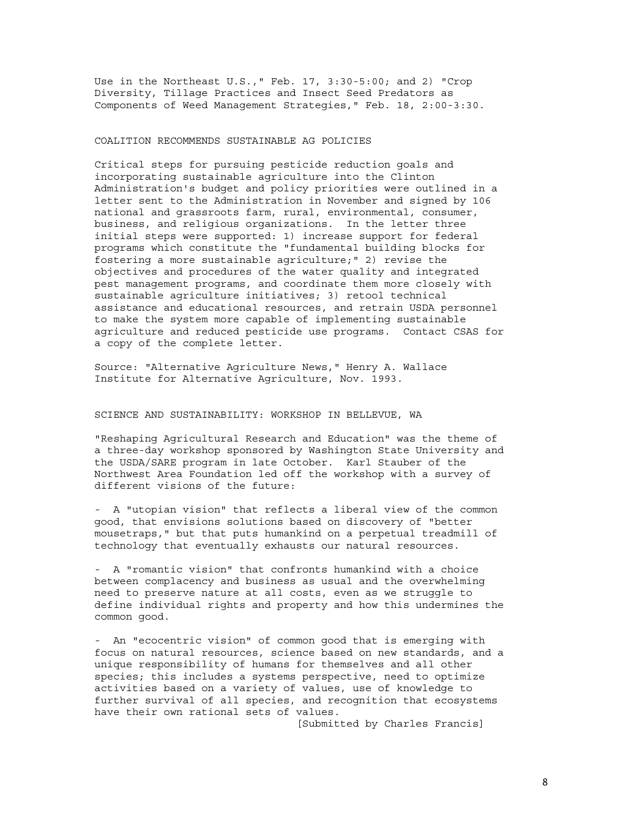Use in the Northeast U.S.," Feb. 17, 3:30-5:00; and 2) "Crop Diversity, Tillage Practices and Insect Seed Predators as Components of Weed Management Strategies," Feb. 18, 2:00-3:30.

#### COALITION RECOMMENDS SUSTAINABLE AG POLICIES

Critical steps for pursuing pesticide reduction goals and incorporating sustainable agriculture into the Clinton Administration's budget and policy priorities were outlined in a letter sent to the Administration in November and signed by 106 national and grassroots farm, rural, environmental, consumer, business, and religious organizations. In the letter three initial steps were supported: 1) increase support for federal programs which constitute the "fundamental building blocks for fostering a more sustainable agriculture;" 2) revise the objectives and procedures of the water quality and integrated pest management programs, and coordinate them more closely with sustainable agriculture initiatives; 3) retool technical assistance and educational resources, and retrain USDA personnel to make the system more capable of implementing sustainable agriculture and reduced pesticide use programs. Contact CSAS for a copy of the complete letter.

Source: "Alternative Agriculture News," Henry A. Wallace Institute for Alternative Agriculture, Nov. 1993.

#### SCIENCE AND SUSTAINABILITY: WORKSHOP IN BELLEVUE, WA

"Reshaping Agricultural Research and Education" was the theme of a three-day workshop sponsored by Washington State University and the USDA/SARE program in late October. Karl Stauber of the Northwest Area Foundation led off the workshop with a survey of different visions of the future:

- A "utopian vision" that reflects a liberal view of the common good, that envisions solutions based on discovery of "better mousetraps," but that puts humankind on a perpetual treadmill of technology that eventually exhausts our natural resources.

- A "romantic vision" that confronts humankind with a choice between complacency and business as usual and the overwhelming need to preserve nature at all costs, even as we struggle to define individual rights and property and how this undermines the common good.

- An "ecocentric vision" of common good that is emerging with focus on natural resources, science based on new standards, and a unique responsibility of humans for themselves and all other species; this includes a systems perspective, need to optimize activities based on a variety of values, use of knowledge to further survival of all species, and recognition that ecosystems have their own rational sets of values.

[Submitted by Charles Francis]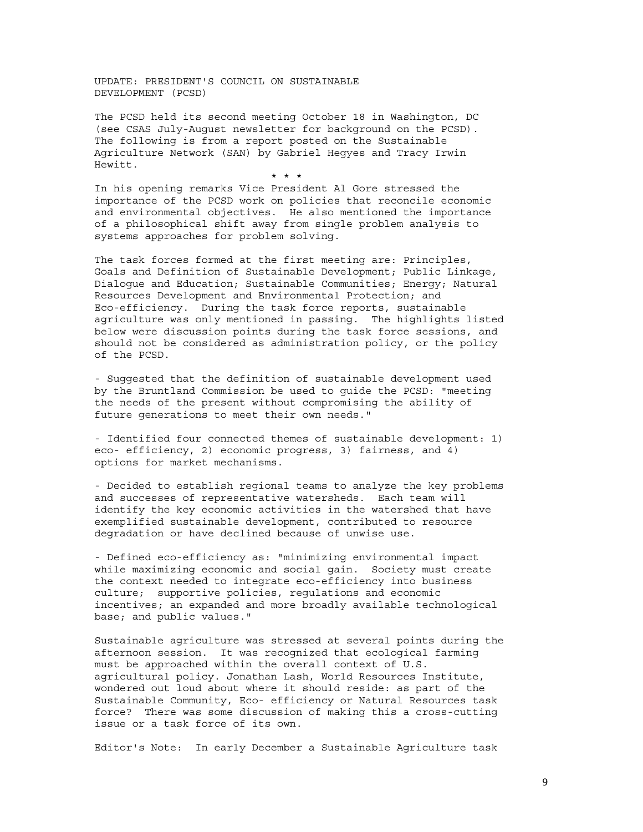UPDATE: PRESIDENT'S COUNCIL ON SUSTAINABLE DEVELOPMENT (PCSD)

The PCSD held its second meeting October 18 in Washington, DC (see CSAS July-August newsletter for background on the PCSD). The following is from a report posted on the Sustainable Agriculture Network (SAN) by Gabriel Hegyes and Tracy Irwin Hewitt.

\* \* \*

In his opening remarks Vice President Al Gore stressed the importance of the PCSD work on policies that reconcile economic and environmental objectives. He also mentioned the importance of a philosophical shift away from single problem analysis to systems approaches for problem solving.

The task forces formed at the first meeting are: Principles, Goals and Definition of Sustainable Development; Public Linkage, Dialogue and Education; Sustainable Communities; Energy; Natural Resources Development and Environmental Protection; and Eco-efficiency. During the task force reports, sustainable agriculture was only mentioned in passing. The highlights listed below were discussion points during the task force sessions, and should not be considered as administration policy, or the policy of the PCSD.

- Suggested that the definition of sustainable development used by the Bruntland Commission be used to guide the PCSD: "meeting the needs of the present without compromising the ability of future generations to meet their own needs."

- Identified four connected themes of sustainable development: 1) eco- efficiency, 2) economic progress, 3) fairness, and 4) options for market mechanisms.

- Decided to establish regional teams to analyze the key problems and successes of representative watersheds. Each team will identify the key economic activities in the watershed that have exemplified sustainable development, contributed to resource degradation or have declined because of unwise use.

- Defined eco-efficiency as: "minimizing environmental impact while maximizing economic and social gain. Society must create the context needed to integrate eco-efficiency into business culture; supportive policies, regulations and economic incentives; an expanded and more broadly available technological base; and public values."

Sustainable agriculture was stressed at several points during the afternoon session. It was recognized that ecological farming must be approached within the overall context of U.S. agricultural policy. Jonathan Lash, World Resources Institute, wondered out loud about where it should reside: as part of the Sustainable Community, Eco- efficiency or Natural Resources task force? There was some discussion of making this a cross-cutting issue or a task force of its own.

Editor's Note: In early December a Sustainable Agriculture task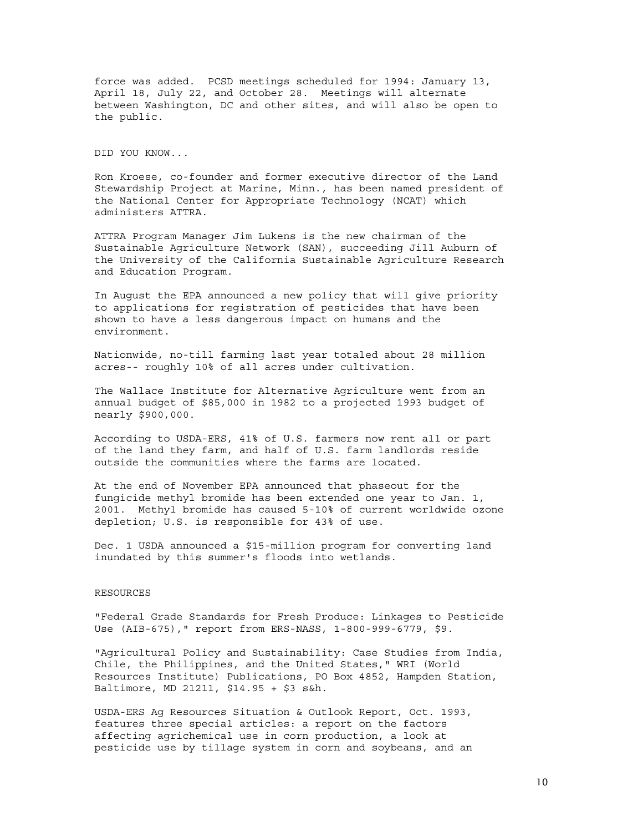force was added. PCSD meetings scheduled for 1994: January 13, April 18, July 22, and October 28. Meetings will alternate between Washington, DC and other sites, and will also be open to the public.

DID YOU KNOW...

Ron Kroese, co-founder and former executive director of the Land Stewardship Project at Marine, Minn., has been named president of the National Center for Appropriate Technology (NCAT) which administers ATTRA.

ATTRA Program Manager Jim Lukens is the new chairman of the Sustainable Agriculture Network (SAN), succeeding Jill Auburn of the University of the California Sustainable Agriculture Research and Education Program.

In August the EPA announced a new policy that will give priority to applications for registration of pesticides that have been shown to have a less dangerous impact on humans and the environment.

Nationwide, no-till farming last year totaled about 28 million acres-- roughly 10% of all acres under cultivation.

The Wallace Institute for Alternative Agriculture went from an annual budget of \$85,000 in 1982 to a projected 1993 budget of nearly \$900,000.

According to USDA-ERS, 41% of U.S. farmers now rent all or part of the land they farm, and half of U.S. farm landlords reside outside the communities where the farms are located.

At the end of November EPA announced that phaseout for the fungicide methyl bromide has been extended one year to Jan. 1, 2001. Methyl bromide has caused 5-10% of current worldwide ozone depletion; U.S. is responsible for 43% of use.

Dec. 1 USDA announced a \$15-million program for converting land inundated by this summer's floods into wetlands.

#### RESOURCES

"Federal Grade Standards for Fresh Produce: Linkages to Pesticide Use (AIB-675)," report from ERS-NASS, 1-800-999-6779, \$9.

"Agricultural Policy and Sustainability: Case Studies from India, Chile, the Philippines, and the United States," WRI (World Resources Institute) Publications, PO Box 4852, Hampden Station, Baltimore, MD 21211, \$14.95 + \$3 s&h.

USDA-ERS Ag Resources Situation & Outlook Report, Oct. 1993, features three special articles: a report on the factors affecting agrichemical use in corn production, a look at pesticide use by tillage system in corn and soybeans, and an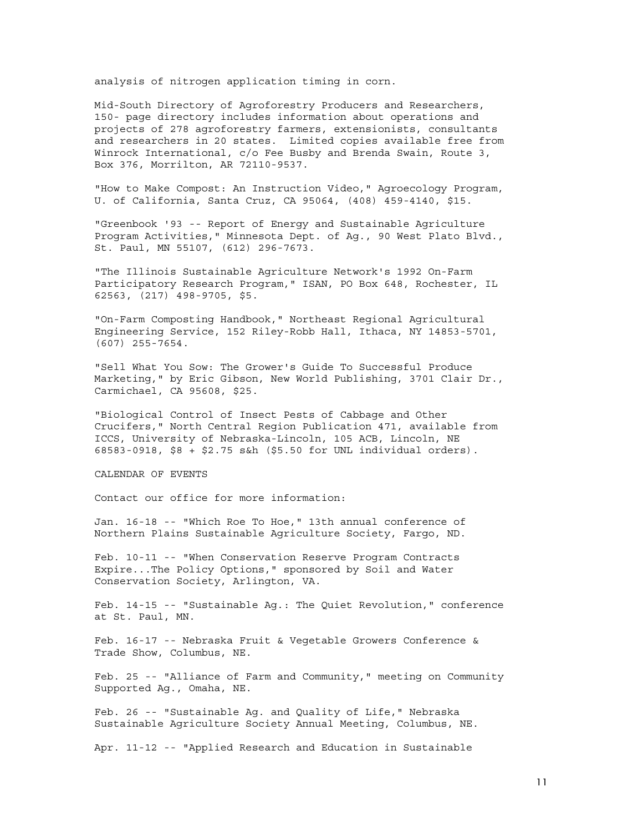analysis of nitrogen application timing in corn.

Mid-South Directory of Agroforestry Producers and Researchers, 150- page directory includes information about operations and projects of 278 agroforestry farmers, extensionists, consultants and researchers in 20 states. Limited copies available free from Winrock International, c/o Fee Busby and Brenda Swain, Route 3, Box 376, Morrilton, AR 72110-9537.

"How to Make Compost: An Instruction Video," Agroecology Program, U. of California, Santa Cruz, CA 95064, (408) 459-4140, \$15.

"Greenbook '93 -- Report of Energy and Sustainable Agriculture Program Activities," Minnesota Dept. of Ag., 90 West Plato Blvd., St. Paul, MN 55107, (612) 296-7673.

"The Illinois Sustainable Agriculture Network's 1992 On-Farm Participatory Research Program," ISAN, PO Box 648, Rochester, IL 62563, (217) 498-9705, \$5.

"On-Farm Composting Handbook," Northeast Regional Agricultural Engineering Service, 152 Riley-Robb Hall, Ithaca, NY 14853-5701, (607) 255-7654.

"Sell What You Sow: The Grower's Guide To Successful Produce Marketing," by Eric Gibson, New World Publishing, 3701 Clair Dr., Carmichael, CA 95608, \$25.

"Biological Control of Insect Pests of Cabbage and Other Crucifers," North Central Region Publication 471, available from ICCS, University of Nebraska-Lincoln, 105 ACB, Lincoln, NE 68583-0918, \$8 + \$2.75 s&h (\$5.50 for UNL individual orders).

CALENDAR OF EVENTS

Contact our office for more information:

Jan. 16-18 -- "Which Roe To Hoe," 13th annual conference of Northern Plains Sustainable Agriculture Society, Fargo, ND.

Feb. 10-11 -- "When Conservation Reserve Program Contracts Expire...The Policy Options," sponsored by Soil and Water Conservation Society, Arlington, VA.

Feb. 14-15 -- "Sustainable Ag.: The Quiet Revolution," conference at St. Paul, MN.

Feb. 16-17 -- Nebraska Fruit & Vegetable Growers Conference & Trade Show, Columbus, NE.

Feb. 25 -- "Alliance of Farm and Community," meeting on Community Supported Ag., Omaha, NE.

Feb. 26 -- "Sustainable Ag. and Quality of Life," Nebraska Sustainable Agriculture Society Annual Meeting, Columbus, NE.

Apr. 11-12 -- "Applied Research and Education in Sustainable